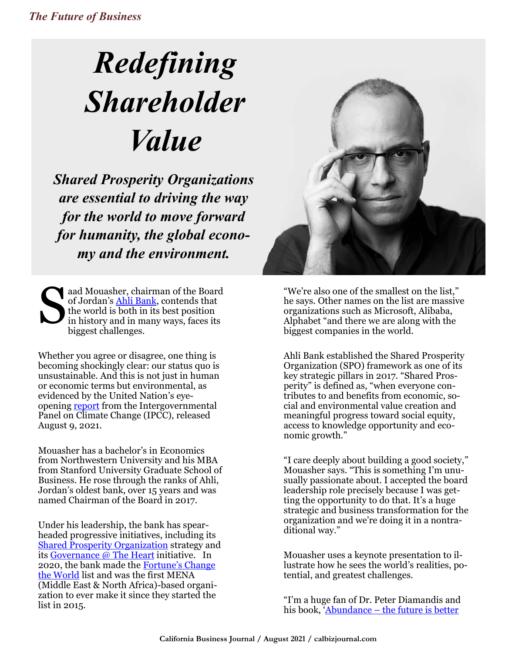## *Redefining Shareholder Value*

*Shared Prosperity Organizations are essential to driving the way for the world to move forward for humanity, the global economy and the environment.*

S aad Mouasher, chairman of the Board of Jordan's [Ahli Bank,](about:blank) contends that the world is both in its best position in history and in many ways, faces its biggest challenges.

Whether you agree or disagree, one thing is becoming shockingly clear: our status quo is unsustainable. And this is not just in human or economic terms but environmental, as evidenced by the United Nation's eyeopening **report** from the Intergovernmental Panel on Climate Change (IPCC), released August 9, 2021.

Mouasher has a bachelor's in Economics from Northwestern University and his MBA from Stanford University Graduate School of Business. He rose through the ranks of Ahli, Jordan's oldest bank, over 15 years and was named Chairman of the Board in 2017.

Under his leadership, the bank has spearheaded progressive initiatives, including its [Shared Prosperity Organization](about:blank) strategy and its [Governance @ The Heart](about:blank) initiative. In 2020, the bank made the Fortune'[s Change](about:blank)  [the World](about:blank) list and was the first MENA (Middle East & North Africa)-based organization to ever make it since they started the list in 2015.



"We're also one of the smallest on the list," he says. Other names on the list are massive organizations such as Microsoft, Alibaba, Alphabet "and there we are along with the biggest companies in the world.

Ahli Bank established the Shared Prosperity Organization (SPO) framework as one of its key strategic pillars in 2017. "Shared Prosperity" is defined as, "when everyone contributes to and benefits from economic, social and environmental value creation and meaningful progress toward social equity, access to knowledge opportunity and economic growth."

"I care deeply about building a good society," Mouasher says. "This is something I'm unusually passionate about. I accepted the board leadership role precisely because I was getting the opportunity to do that. It's a huge strategic and business transformation for the organization and we're doing it in a nontraditional way."

Mouasher uses a keynote presentation to illustrate how he sees the world's realities, potential, and greatest challenges.

"I'm a huge fan of Dr. Peter Diamandis and his book, 'Abundance – the future is better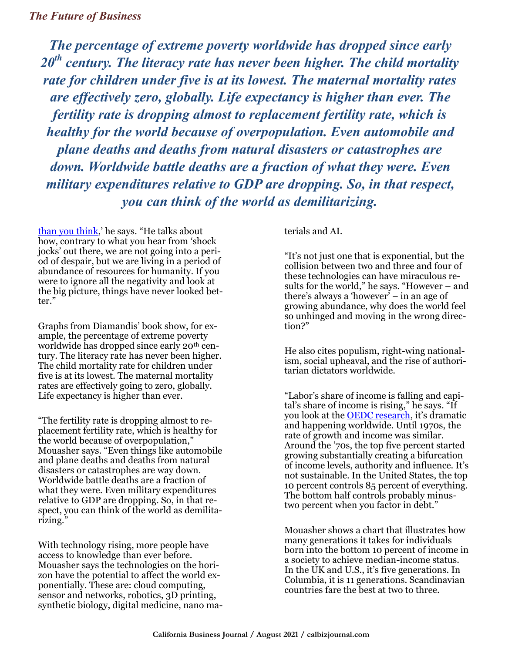*The percentage of extreme poverty worldwide has dropped since early 20th century. The literacy rate has never been higher. The child mortality rate for children under five is at its lowest. The maternal mortality rates are effectively zero, globally. Life expectancy is higher than ever. The fertility rate is dropping almost to replacement fertility rate, which is healthy for the world because of overpopulation. Even automobile and plane deaths and deaths from natural disasters or catastrophes are down. Worldwide battle deaths are a fraction of what they were. Even military expenditures relative to GDP are dropping. So, in that respect, you can think of the world as demilitarizing.* 

[than you think](about:blank),' he says. "He talks about how, contrary to what you hear from 'shock jocks' out there, we are not going into a period of despair, but we are living in a period of abundance of resources for humanity. If you were to ignore all the negativity and look at the big picture, things have never looked better."

Graphs from Diamandis' book show, for example, the percentage of extreme poverty worldwide has dropped since early 20<sup>th</sup> century. The literacy rate has never been higher. The child mortality rate for children under five is at its lowest. The maternal mortality rates are effectively going to zero, globally. Life expectancy is higher than ever.

"The fertility rate is dropping almost to replacement fertility rate, which is healthy for the world because of overpopulation," Mouasher says. "Even things like automobile and plane deaths and deaths from natural disasters or catastrophes are way down. Worldwide battle deaths are a fraction of what they were. Even military expenditures relative to GDP are dropping. So, in that respect, you can think of the world as demilitarizing."

With technology rising, more people have access to knowledge than ever before. Mouasher says the technologies on the horizon have the potential to affect the world exponentially. These are: cloud computing, sensor and networks, robotics, 3D printing, synthetic biology, digital medicine, nano materials and AI.

"It's not just one that is exponential, but the collision between two and three and four of these technologies can have miraculous results for the world," he says. "However – and there's always a 'however' – in an age of growing abundance, why does the world feel so unhinged and moving in the wrong direction?"

He also cites populism, right-wing nationalism, social upheaval, and the rise of authoritarian dictators worldwide.

"Labor's share of income is falling and capital's share of income is rising," he says. "If you look at the [OEDC research,](about:blank) it's dramatic and happening worldwide. Until 1970s, the rate of growth and income was similar. Around the '70s, the top five percent started growing substantially creating a bifurcation of income levels, authority and influence. It's not sustainable. In the United States, the top 10 percent controls 85 percent of everything. The bottom half controls probably minustwo percent when you factor in debt."

Mouasher shows a chart that illustrates how many generations it takes for individuals born into the bottom 10 percent of income in a society to achieve median-income status. In the UK and U.S., it's five generations. In Columbia, it is 11 generations. Scandinavian countries fare the best at two to three.